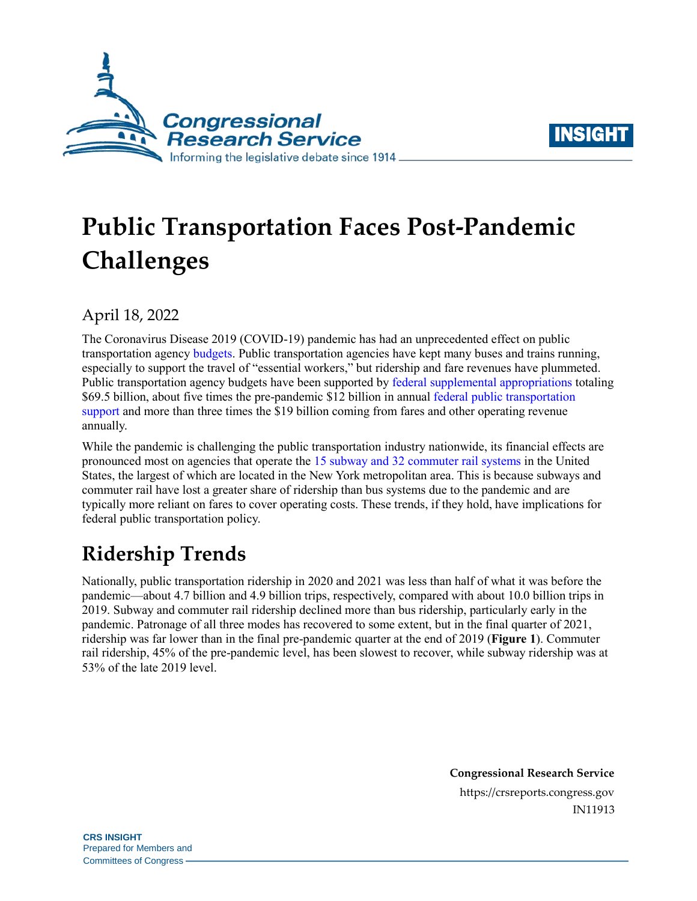



# **Public Transportation Faces Post-Pandemic Challenges**

April 18, 2022

The Coronavirus Disease 2019 (COVID-19) pandemic has had an unprecedented effect on public transportation agenc[y budgets.](https://www.cbo.gov/system/files/2022-03/57636-Transportation.pdf#2) Public transportation agencies have kept many buses and trains running, especially to support the travel of "essential workers," but ridership and fare revenues have plummeted. Public transportation agency budgets have been supported by [federal supplemental appropriations](https://www.transit.dot.gov/coronavirus) totaling \$69.5 billion, about five times the pre-pandemic \$12 billion in annual [federal public transportation](https://crsreports.congress.gov/product/pdf/R/R47002#7)  [support](https://crsreports.congress.gov/product/pdf/R/R47002#7) and more than three times the \$19 billion coming from fares and other operating revenue annually.

While the pandemic is challenging the public transportation industry nationwide, its financial effects are pronounced most on agencies that operate the 15 subway and 32 [commuter rail](https://www.apta.com/wp-content/uploads/APTA-2021-Fact-Book.pdf#41) systems in the United States, the largest of which are located in the New York metropolitan area. This is because subways and commuter rail have lost a greater share of ridership than bus systems due to the pandemic and are typically more reliant on fares to cover operating costs. These trends, if they hold, have implications for federal public transportation policy.

## **Ridership Trends**

Nationally, public transportation ridership in 2020 and 2021 was less than half of what it was before the pandemic—about 4.7 billion and 4.9 billion trips, respectively, compared with about 10.0 billion trips in 2019. Subway and commuter rail ridership declined more than bus ridership, particularly early in the pandemic. Patronage of all three modes has recovered to some extent, but in the final quarter of 2021, ridership was far lower than in the final pre-pandemic quarter at the end of 2019 (**[Figure 1](#page-1-0)**). Commuter rail ridership, 45% of the pre-pandemic level, has been slowest to recover, while subway ridership was at 53% of the late 2019 level.

> **Congressional Research Service** https://crsreports.congress.gov IN11913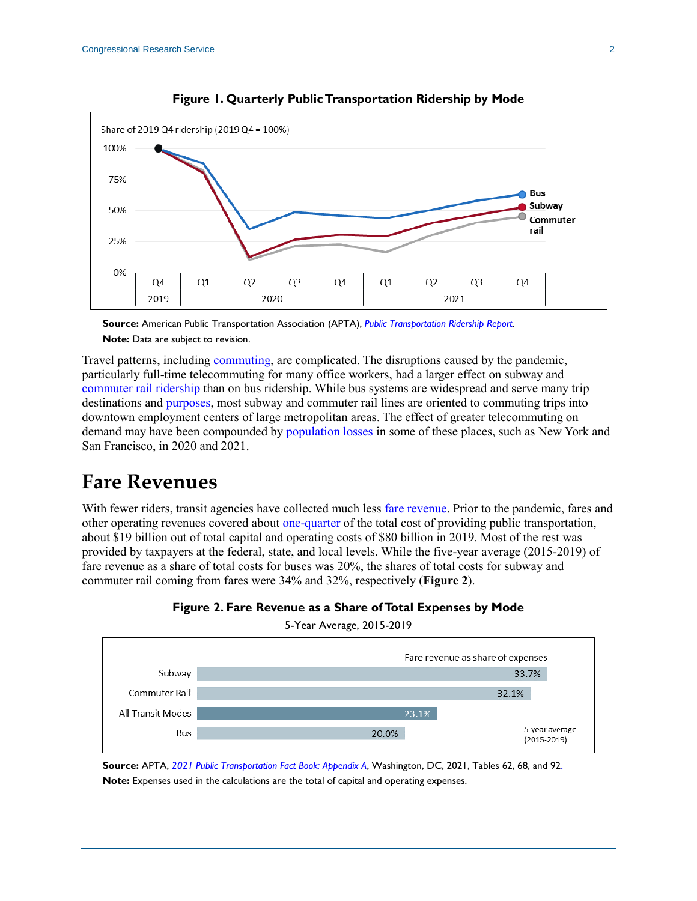<span id="page-1-0"></span>

**Figure 1. Quarterly Public Transportation Ridership by Mode**

**Source:** American Public Transportation Association (APTA), *[Public Transportation Ridership Report](https://www.apta.com/research-technical-resources/transit-statistics/ridership-report/)*. **Note:** Data are subject to revision.

Travel patterns, includin[g commuting,](https://traveltrends.transportation.org/wp-content/uploads/sites/62/2019/07/B15_Commuting-Flow-Patterns_CA15-4_web.pdf) are complicated. The disruptions caused by the pandemic, particularly full-time telecommuting for many office workers, had a larger effect on subway and [commuter rail ridership](https://www.washingtonpost.com/transportation/2022/03/04/pandemic-commuter-rail-ridership/) than on bus ridership. While bus systems are widespread and serve many trip destinations and [purposes,](https://www.apta.com/wp-content/uploads/Resources/resources/reportsandpublications/Documents/APTA-Who-Rides-Public-Transportation-2017.pdf#43) most subway and commuter rail lines are oriented to commuting trips into downtown employment centers of large metropolitan areas. The effect of greater telecommuting on demand may have been compounded by [population losses](https://www.census.gov/newsroom/press-releases/2022/population-estimates-counties-decrease.html) in some of these places, such as New York and San Francisco, in 2020 and 2021.

### **Fare Revenues**

With fewer riders, transit agencies have collected much less [fare revenue.](https://www.transit.dot.gov/sites/fta.dot.gov/files/2022-01/2020%20National%20Transit%20Summaries%20and%20Trends%201-1.pdf#25) Prior to the pandemic, fares and other operating revenues covered about [one-quarter](https://crsreports.congress.gov/product/pdf/R/R47002#7) of the total cost of providing public transportation, about \$19 billion out of total capital and operating costs of \$80 billion in 2019. Most of the rest was provided by taxpayers at the federal, state, and local levels. While the five-year average (2015-2019) of fare revenue as a share of total costs for buses was 20%, the shares of total costs for subway and commuter rail coming from fares were 34% and 32%, respectively (**[Figure 2](#page-1-1)**).



<span id="page-1-1"></span>

5-Year Average, 2015-2019

**Source:** APTA, *[2021 Public Transportation Fact Book: Appendix A](https://www.apta.com/research-technical-resources/transit-statistics/public-transportation-fact-book/)*, Washington, DC, 2021, Tables 62, 68, and 92. **Note:** Expenses used in the calculations are the total of capital and operating expenses.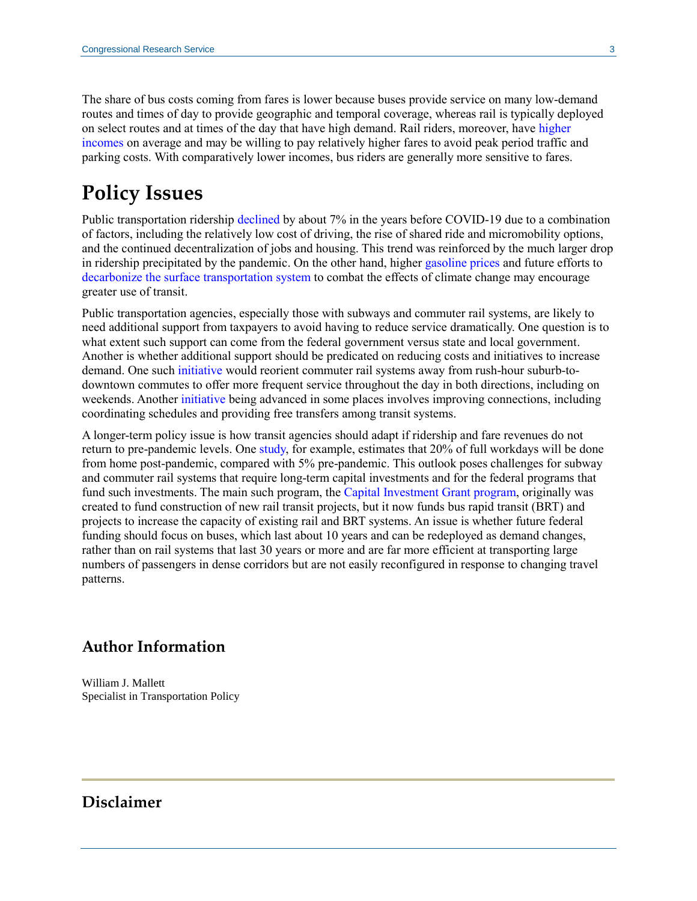The share of bus costs coming from fares is lower because buses provide service on many low-demand routes and times of day to provide geographic and temporal coverage, whereas rail is typically deployed on select routes and at times of the day that have high demand. Rail riders, moreover, have [higher](https://www.apta.com/wp-content/uploads/Resources/resources/reportsandpublications/Documents/APTA-Who-Rides-Public-Transportation-2017.pdf#36)  [incomes](https://www.apta.com/wp-content/uploads/Resources/resources/reportsandpublications/Documents/APTA-Who-Rides-Public-Transportation-2017.pdf#36) on average and may be willing to pay relatively higher fares to avoid peak period traffic and parking costs. With comparatively lower incomes, bus riders are generally more sensitive to fares.

## **Policy Issues**

Public transportation ridership [declined](https://crsreports.congress.gov/product/pdf/R/R45144) by about 7% in the years before COVID-19 due to a combination of factors, including the relatively low cost of driving, the rise of shared ride and micromobility options, and the continued decentralization of jobs and housing. This trend was reinforced by the much larger drop in ridership precipitated by the pandemic. On the other hand, higher [gasoline prices](https://www.eia.gov/petroleum/gasdiesel/) and future efforts to [decarbonize the surface transportation system](https://crsreports.congress.gov/product/pdf/IF/IF11921) to combat the effects of climate change may encourage greater use of transit.

Public transportation agencies, especially those with subways and commuter rail systems, are likely to need additional support from taxpayers to avoid having to reduce service dramatically. One question is to what extent such support can come from the federal government versus state and local government. Another is whether additional support should be predicated on reducing costs and initiatives to increase demand. One such [initiative](https://www.wbur.org/news/2021/02/23/mbta-commuter-rail-service-changes) would reorient commuter rail systems away from rush-hour suburb-todowntown commutes to offer more frequent service throughout the day in both directions, including on weekends. Another [initiative](https://www.encinitasadvocate.com/news/story/2021-07-25/deal-could-extend-coaster-service-to-l-a-county) being advanced in some places involves improving connections, including coordinating schedules and providing free transfers among transit systems.

A longer-term policy issue is how transit agencies should adapt if ridership and fare revenues do not return to pre-pandemic levels. One [study,](https://www.nber.org/papers/w28731) for example, estimates that 20% of full workdays will be done from home post-pandemic, compared with 5% pre-pandemic. This outlook poses challenges for subway and commuter rail systems that require long-term capital investments and for the federal programs that fund such investments. The main such program, the [Capital Investment Grant program,](https://www.transit.dot.gov/CIG) originally was created to fund construction of new rail transit projects, but it now funds bus rapid transit (BRT) and projects to increase the capacity of existing rail and BRT systems. An issue is whether future federal funding should focus on buses, which last about 10 years and can be redeployed as demand changes, rather than on rail systems that last 30 years or more and are far more efficient at transporting large numbers of passengers in dense corridors but are not easily reconfigured in response to changing travel patterns.

#### **Author Information**

William J. Mallett Specialist in Transportation Policy

#### **Disclaimer**